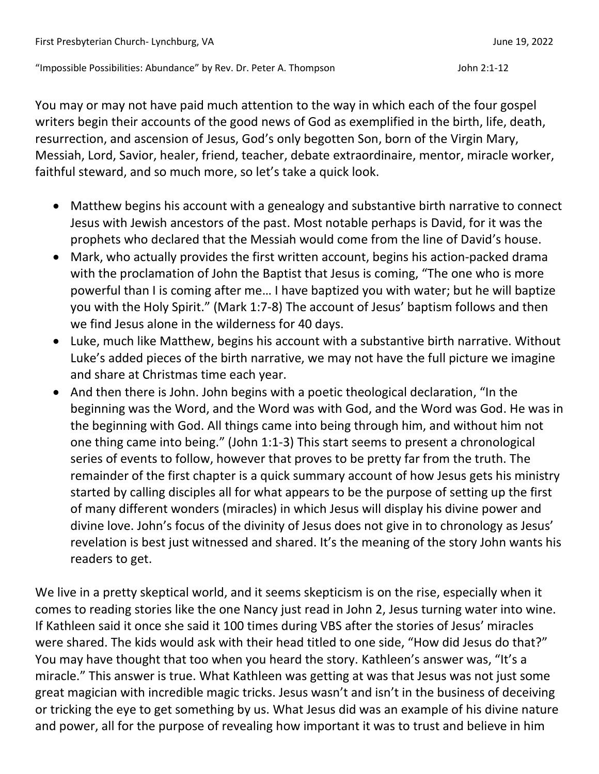"Impossible Possibilities: Abundance" by Rev. Dr. Peter A. Thompson John 2:1-12

You may or may not have paid much attention to the way in which each of the four gospel writers begin their accounts of the good news of God as exemplified in the birth, life, death, resurrection, and ascension of Jesus, God's only begotten Son, born of the Virgin Mary, Messiah, Lord, Savior, healer, friend, teacher, debate extraordinaire, mentor, miracle worker, faithful steward, and so much more, so let's take a quick look.

- Matthew begins his account with a genealogy and substantive birth narrative to connect Jesus with Jewish ancestors of the past. Most notable perhaps is David, for it was the prophets who declared that the Messiah would come from the line of David's house.
- Mark, who actually provides the first written account, begins his action-packed drama with the proclamation of John the Baptist that Jesus is coming, "The one who is more powerful than I is coming after me… I have baptized you with water; but he will baptize you with the Holy Spirit." (Mark 1:7-8) The account of Jesus' baptism follows and then we find Jesus alone in the wilderness for 40 days.
- Luke, much like Matthew, begins his account with a substantive birth narrative. Without Luke's added pieces of the birth narrative, we may not have the full picture we imagine and share at Christmas time each year.
- And then there is John. John begins with a poetic theological declaration, "In the beginning was the Word, and the Word was with God, and the Word was God. He was in the beginning with God. All things came into being through him, and without him not one thing came into being." (John 1:1-3) This start seems to present a chronological series of events to follow, however that proves to be pretty far from the truth. The remainder of the first chapter is a quick summary account of how Jesus gets his ministry started by calling disciples all for what appears to be the purpose of setting up the first of many different wonders (miracles) in which Jesus will display his divine power and divine love. John's focus of the divinity of Jesus does not give in to chronology as Jesus' revelation is best just witnessed and shared. It's the meaning of the story John wants his readers to get.

We live in a pretty skeptical world, and it seems skepticism is on the rise, especially when it comes to reading stories like the one Nancy just read in John 2, Jesus turning water into wine. If Kathleen said it once she said it 100 times during VBS after the stories of Jesus' miracles were shared. The kids would ask with their head titled to one side, "How did Jesus do that?" You may have thought that too when you heard the story. Kathleen's answer was, "It's a miracle." This answer is true. What Kathleen was getting at was that Jesus was not just some great magician with incredible magic tricks. Jesus wasn't and isn't in the business of deceiving or tricking the eye to get something by us. What Jesus did was an example of his divine nature and power, all for the purpose of revealing how important it was to trust and believe in him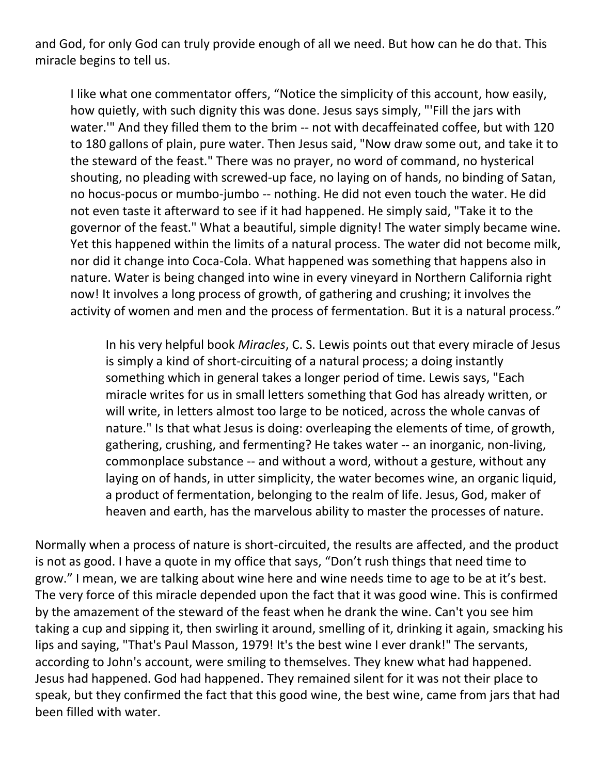and God, for only God can truly provide enough of all we need. But how can he do that. This miracle begins to tell us.

I like what one commentator offers, "Notice the simplicity of this account, how easily, how quietly, with such dignity this was done. Jesus says simply, "'Fill the jars with water.'" And they filled them to the brim -- not with decaffeinated coffee, but with 120 to 180 gallons of plain, pure water. Then Jesus said, "Now draw some out, and take it to the steward of the feast." There was no prayer, no word of command, no hysterical shouting, no pleading with screwed-up face, no laying on of hands, no binding of Satan, no hocus-pocus or mumbo-jumbo -- nothing. He did not even touch the water. He did not even taste it afterward to see if it had happened. He simply said, "Take it to the governor of the feast." What a beautiful, simple dignity! The water simply became wine. Yet this happened within the limits of a natural process. The water did not become milk, nor did it change into Coca-Cola. What happened was something that happens also in nature. Water is being changed into wine in every vineyard in Northern California right now! It involves a long process of growth, of gathering and crushing; it involves the activity of women and men and the process of fermentation. But it is a natural process."

In his very helpful book *Miracles*, C. S. Lewis points out that every miracle of Jesus is simply a kind of short-circuiting of a natural process; a doing instantly something which in general takes a longer period of time. Lewis says, "Each miracle writes for us in small letters something that God has already written, or will write, in letters almost too large to be noticed, across the whole canvas of nature." Is that what Jesus is doing: overleaping the elements of time, of growth, gathering, crushing, and fermenting? He takes water -- an inorganic, non-living, commonplace substance -- and without a word, without a gesture, without any laying on of hands, in utter simplicity, the water becomes wine, an organic liquid, a product of fermentation, belonging to the realm of life. Jesus, God, maker of heaven and earth, has the marvelous ability to master the processes of nature.

Normally when a process of nature is short-circuited, the results are affected, and the product is not as good. I have a quote in my office that says, "Don't rush things that need time to grow." I mean, we are talking about wine here and wine needs time to age to be at it's best. The very force of this miracle depended upon the fact that it was good wine. This is confirmed by the amazement of the steward of the feast when he drank the wine. Can't you see him taking a cup and sipping it, then swirling it around, smelling of it, drinking it again, smacking his lips and saying, "That's Paul Masson, 1979! It's the best wine I ever drank!" The servants, according to John's account, were smiling to themselves. They knew what had happened. Jesus had happened. God had happened. They remained silent for it was not their place to speak, but they confirmed the fact that this good wine, the best wine, came from jars that had been filled with water.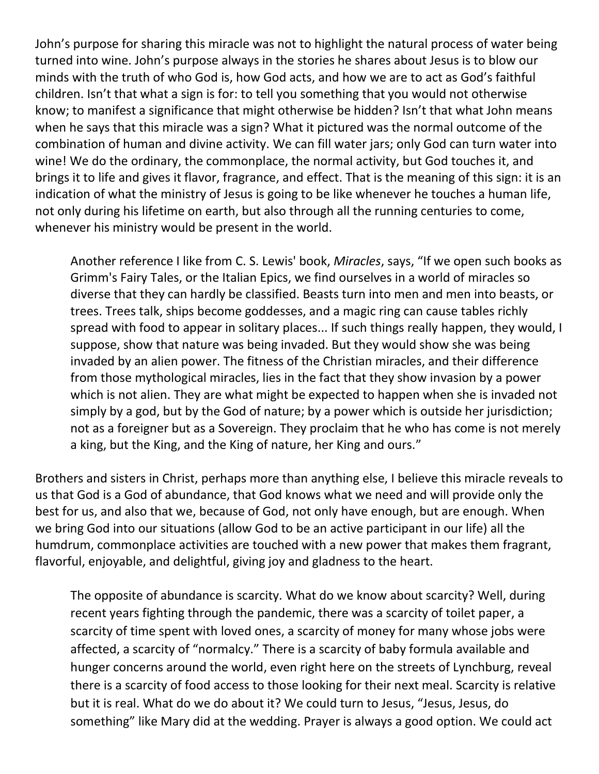John's purpose for sharing this miracle was not to highlight the natural process of water being turned into wine. John's purpose always in the stories he shares about Jesus is to blow our minds with the truth of who God is, how God acts, and how we are to act as God's faithful children. Isn't that what a sign is for: to tell you something that you would not otherwise know; to manifest a significance that might otherwise be hidden? Isn't that what John means when he says that this miracle was a sign? What it pictured was the normal outcome of the combination of human and divine activity. We can fill water jars; only God can turn water into wine! We do the ordinary, the commonplace, the normal activity, but God touches it, and brings it to life and gives it flavor, fragrance, and effect. That is the meaning of this sign: it is an indication of what the ministry of Jesus is going to be like whenever he touches a human life, not only during his lifetime on earth, but also through all the running centuries to come, whenever his ministry would be present in the world.

Another reference I like from C. S. Lewis' book, *Miracles*, says, "If we open such books as Grimm's Fairy Tales, or the Italian Epics, we find ourselves in a world of miracles so diverse that they can hardly be classified. Beasts turn into men and men into beasts, or trees. Trees talk, ships become goddesses, and a magic ring can cause tables richly spread with food to appear in solitary places... If such things really happen, they would, I suppose, show that nature was being invaded. But they would show she was being invaded by an alien power. The fitness of the Christian miracles, and their difference from those mythological miracles, lies in the fact that they show invasion by a power which is not alien. They are what might be expected to happen when she is invaded not simply by a god, but by the God of nature; by a power which is outside her jurisdiction; not as a foreigner but as a Sovereign. They proclaim that he who has come is not merely a king, but the King, and the King of nature, her King and ours."

Brothers and sisters in Christ, perhaps more than anything else, I believe this miracle reveals to us that God is a God of abundance, that God knows what we need and will provide only the best for us, and also that we, because of God, not only have enough, but are enough. When we bring God into our situations (allow God to be an active participant in our life) all the humdrum, commonplace activities are touched with a new power that makes them fragrant, flavorful, enjoyable, and delightful, giving joy and gladness to the heart.

The opposite of abundance is scarcity. What do we know about scarcity? Well, during recent years fighting through the pandemic, there was a scarcity of toilet paper, a scarcity of time spent with loved ones, a scarcity of money for many whose jobs were affected, a scarcity of "normalcy." There is a scarcity of baby formula available and hunger concerns around the world, even right here on the streets of Lynchburg, reveal there is a scarcity of food access to those looking for their next meal. Scarcity is relative but it is real. What do we do about it? We could turn to Jesus, "Jesus, Jesus, do something" like Mary did at the wedding. Prayer is always a good option. We could act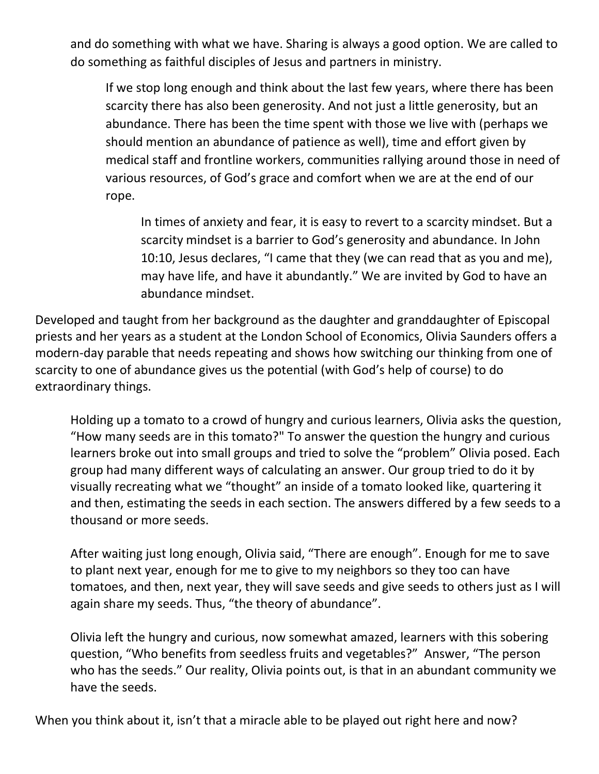and do something with what we have. Sharing is always a good option. We are called to do something as faithful disciples of Jesus and partners in ministry.

If we stop long enough and think about the last few years, where there has been scarcity there has also been generosity. And not just a little generosity, but an abundance. There has been the time spent with those we live with (perhaps we should mention an abundance of patience as well), time and effort given by medical staff and frontline workers, communities rallying around those in need of various resources, of God's grace and comfort when we are at the end of our rope.

In times of anxiety and fear, it is easy to revert to a scarcity mindset. But a scarcity mindset is a barrier to God's generosity and abundance. In John 10:10, Jesus declares, "I came that they (we can read that as you and me), may have life, and have it abundantly." We are invited by God to have an abundance mindset.

Developed and taught from her background as the daughter and granddaughter of Episcopal priests and her years as a student at the London School of Economics, Olivia Saunders offers a modern-day parable that needs repeating and shows how switching our thinking from one of scarcity to one of abundance gives us the potential (with God's help of course) to do extraordinary things.

Holding up a tomato to a crowd of hungry and curious learners, Olivia asks the question, "How many seeds are in this tomato?" To answer the question the hungry and curious learners broke out into small groups and tried to solve the "problem" Olivia posed. Each group had many different ways of calculating an answer. Our group tried to do it by visually recreating what we "thought" an inside of a tomato looked like, quartering it and then, estimating the seeds in each section. The answers differed by a few seeds to a thousand or more seeds.

After waiting just long enough, Olivia said, "There are enough". Enough for me to save to plant next year, enough for me to give to my neighbors so they too can have tomatoes, and then, next year, they will save seeds and give seeds to others just as I will again share my seeds. Thus, "the theory of abundance".

Olivia left the hungry and curious, now somewhat amazed, learners with this sobering question, "Who benefits from seedless fruits and vegetables?" Answer, "The person who has the seeds." Our reality, Olivia points out, is that in an abundant community we have the seeds.

When you think about it, isn't that a miracle able to be played out right here and now?